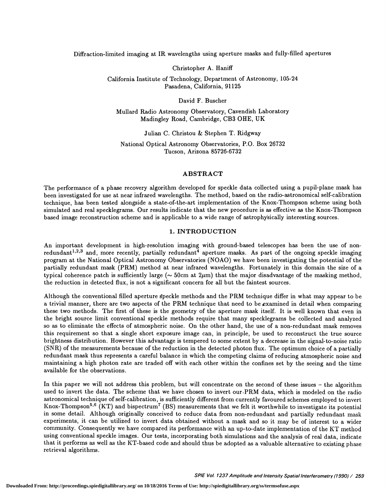Diffraction-limited imaging at IR wavelengths using aperture masks and fully-filled apertures

Christopher A. Haniff

California Institute of Technology, Department of Astronomy, 105-24 Pasadena, California, 91125

David F. Buscher

Mullard Radio Astronomy Observatory, Cavendish Laboratory Madingley Road, Cambridge, CB3 OHE, UK

Julian C. Christou & Stephen T. Ridgway

National Optical Astronomy Observatories, P.O. Box 26732 Tucson, Arizona 85726-6732

## ABSTRACT

The performance of a phase recovery algorithm developed for speckle data collected using a pupil-plane mask has been investigated for use at near infrared wavelengths. The method, based on the radio-astronomical self-calibration technique, has been tested alongside a state-of-the-art implementation of the Knox-Thompson scheme using both simulated and real specklegrams. Our results indicate that the new procedure is as effective as the Knox-Thompson based image reconstruction scheme and is applicable to a wide range of astrophysically interesting sources.

## 1. INTRODUCTION

An important development in high-resolution imaging with ground-based telescopes has been the use of nonredundant<sup>1,2,3</sup> and, more recently, partially redundant<sup>4</sup> aperture masks. As part of the ongoing speckle imaging program at the National Optical Astronomy Observatories (NOAO) we have been investigating the potential of the partially redundant mask (PRM) method at near infrared wavelengths. Fortunately in this domain the size of a typical coherence patch is sufficiently large ( $\sim$  50cm at 2 $\mu$ m) that the major disadvantage of the masking method, the reduction in detected flux, is not a significant concern for all but the faintest sources.

Although the conventional filled aperture speckle methods and the PRM technique differ in what may appear to be a trivial manner, there are two aspects of the PRM technique that need to be examined in detail when comparing these two methods. The first of these is the geometry of the aperture mask itself. It is well known that even in the bright source limit conventional speckle methods require that many specklegrams be collected and analyzed so as to eliminate the effects of atmospheric noise. On the other hand, the use of a non-redundant mask removes this requirement so that a single short exposure image can, in principle, be used to reconstruct the true source brightness distribution. However this advantage is tempered to some extent by a decrease in the signal-to-noise ratio (SNR) of the measurements because of the reduction in the detected photon flux. The optimum choice of a partially redundant mask thus represents a careful balance in which the competing claims of reducing atmospheric noise and maintaining a high photon rate are traded off with each other within the confines set by the seeing and the time available for the observations.

In this paper we will not address this problem, but will concentrate on the second of these issues - the algorithm used to invert the data. The scheme that we have chosen to invert our.PRM data, which is modeled on the radio astronomical technique of self-calibration, is sufficiently different from currently favoured schemes employed to invert Knox-Thompson<sup>5,6</sup> (KT) and bispectrum<sup>7</sup> (BS) measurements that we felt it worthwhile to investigate its potential in some detail. Although originally conceived to reduce data from non-redundant and partially redundant mask experiments, it can be utilized to invert data obtained without a mask and so it may be of interest to a wider community. Consequently we have compared its performance with an up-to-date implementation of the KT method using conventional speckle images. Our tests, incorporating both simulations and the analysis of real data, indicate that it performs as well as the KT-based code and should thus be adopted as a valuable alternative to existing phase retrieval algorithms.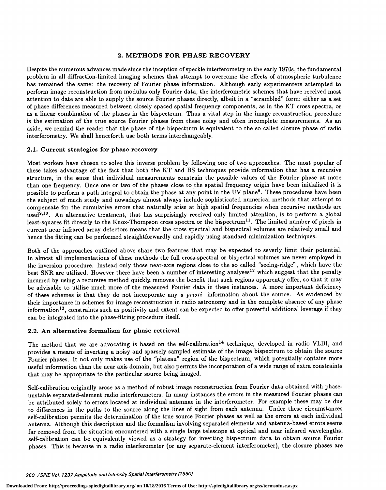## 2. METHODS FOR PHASE RECOVERY

Despite the numerous advances made since the inception of speckle interferometry in the early 1970s, the fundamental problem in all diffraction-limited imaging schemes that attempt to overcome the effects of atmospheric turbulence has remained the same: the recovery of Fourier phase information. Although early experimenters attempted to perform image reconstruction from modulus only Fourier data, the interferometric schemes that have received most attention to date are able to supply the source Fourier phases directly, albeit in a "scrambled" form: either as a set of phase differences measured between closely spaced spatial frequency components, as in the KT cross spectra, or as a linear combination of the phases in the bispectrum. Thus a vital step in the image reconstruction procedure is the estimation of the true source Fourier phases from these noisy and often incomplete measurements. As an aside, we remind the reader that the phase of the bispectrum is equivalent to the so called closure phase of radio interferometry. We shall henceforth use both terms interchangeably.

## 2.1. Current strategies for phase recovery

Most workers have chosen to solve this inverse problem by following one of two approaches. The most popular of these takes advantage of the fact that both the KT and BS techniques provide information that has a recursive structure, in the sense that individual measurements constrain the possible values of the Fourier phase at more than one frequency. Once one or two of the phases close to the spatial frequency origin have been initialized it is possible to perform a path integral to obtain the phase at any point in the UV plane<sup>8</sup>. These procedures have been the subject of much study and nowadays almost always include sophisticated numerical methods that attempt to compensate for the cumulative errors that naturally arise at high spatial frequencies when recursive methods are used<sup>9,10</sup>. An alternative treatment, that has surprisingly received only limited attention, is to perform a global least-squares fit directly to the Knox-Thompson cross spectra or the bispectrum<sup>11</sup>. The limited number of pixels in current near infrared array detectors means that the cross spectral and bispectral volumes are relatively small and hence the fitting can be performed straightforwardly and rapidly using standard minimization techniques.

Both of the approaches outlined above share two features that may be expected to severly limit their potential. In almost all implementations of these methods the full cross-spectral or bispectral volumes are never employed in the inversion procedure. Instead only those near-axis regions close to the so called "seeing-ridge", which have the best SNR are utilized. However there have been a number of interesting analyses<sup>12</sup> which suggest that the penalty incurred by using a recursive method quickly removes the benefit that such regions apparently offer, so that it may be advisable to utilize much more of the measured Fourier data in these instances. A more important deficiency of these schemes is that they do not incorporate any a priori information about the source. As evidenced by their importance in schemes for image reconstruction in radio astronomy and in the complete absence of any phase information<sup>13</sup>, constraints such as positivity and extent can be expected to offer powerful additional leverage if they can be integrated into the phase-fitting procedure itself.

## 2.2. An alternative formalism for phase retrieval

The method that we are advocating is based on the self-calibration<sup>14</sup> technique, developed in radio VLBI, and provides a means of inverting a noisy and sparsely sampled estimate of the image bispectrum to obtain the source Fourier phases. It not only makes use of the "plateau" region of the bispectrum, which potentially contains more useful information than the near axis domain, but also permits the incorporation of a wide range of extra constraints that may be appropriate to the particular source being imaged.

Self-calibration originally arose as a method of robust image reconstruction from Fourier data obtained with phaseunstable separated-element radio interferometers. In many instances the errors in the measured Fourier phases can be attributed solely to errors located at individual antennae in the interferometer. For example these may be due to differences in the paths to the source along the lines of sight from each antenna. Under these circumstances self-calibration permits the determination of the true source Fourier phases as well as the errors at each individual antenna. Although this description and the formalism involving separated elements and antenna-based errors seems far removed from the situation encountered with a single large telescope at optical and near infrared wavelengths, self-calibration can be equivalently viewed as a strategy for inverting bispectrum data to obtain source Fourier phases. This is because in a radio interferometer (or any separate-element interferometer), the closure phases are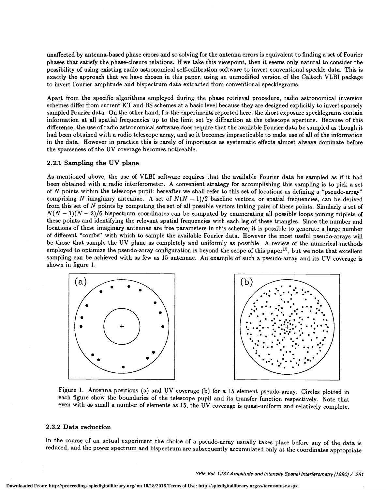unaffected by antenna-based phase errors and so solving for the antenna errors is equivalent to finding a set of Fourier phases that satisfy the phase-closure relations. If we take this viewpoint, then it seems only natural to consider the possibility of using existing radio astronomical self-calibration software to invert conventional speckle data. This is exactly the approach that we have chosen in this paper, using an unmodified version of the Caltech VLBI package to invert Fourier amplitude and bispectrum data extracted from conventional specklegrams.

Apart from the specific algorithms employed during the phase retrieval procedure, radio astronomical inversion schemes differ from current KT and BS schemes at a basic level because they are designed explicitly to invert sparsely sampled Fourier data. On the other hand, for the experiments reported here, the short exposure specklegrams contain information at all spatial frequencies up to the limit set by diffraction at the telescope aperture. Because of this difference, the use of radio astronomical software does require that the available Fourier data be sampled as though it had been obtained with a radio telescope array, and so it becomes impracticable to make use of all of the information in the data. However in practice this is rarely of importance as systematic effects almost always dominate before the sparseness of the UV coverage becomes noticeable.

#### 2.2.1 Sampling the UV plane

As mentioned above, the use of VLBI software requires that the available Fourier data be sampled as if it had been obtained with a radio interferometer. A convenient strategy for accomplishing this sampling is to pick a set of N points within the telescope pupil: hereafter we shall refer to this set of locations as defining a "pseudo-array" comprising N imaginary antennae. A set of  $N(N-1)/2$  baseline vectors, or spatial frequencies, can be derived from this set of N points by computing the set of all possible vectors linking pairs of these points. Similarly a set of  $N(N-1)(N-2)/6$  bispectrum coordinates can be computed by enumerating all possible loops joining triplets of these points and identifying the relevant spatial frequencies with each leg of these triangles. Since the number and locations of these imaginary antennae are free parameters in this scheme, it is possible to generate a large number of different "combs" with which to sample the available Fourier data. However the most useful pseudo-arrays will be those that sample the UV plane as completely and uniformly as possible. A review of the numerical methods employed to optimize the pseudo-array configuration is beyond the scope of this paper<sup>15</sup>, but we note that excellent sampling can be achieved with as few as 15 antennae. An example of such a pseudo-array and its UV coverage is shown in figure 1.



Figure 1. Antenna positions (a) and UV coverage (b) for a 15 element pseudo-array. Circles plotted in each figure show the boundaries of the telescope pupil and its transfer function respectively. Note that even with as small a number of elements as 15, the UV coverage is quasi-uniform and relatively complete.

# 2.2.2 Data reduction

In the course of an actual experiment the choice of a pseudo-array usually takes place before any of the data is reduced, and the power spectrum and bispectrum are subsequently accumulated only at the coordinates appropriate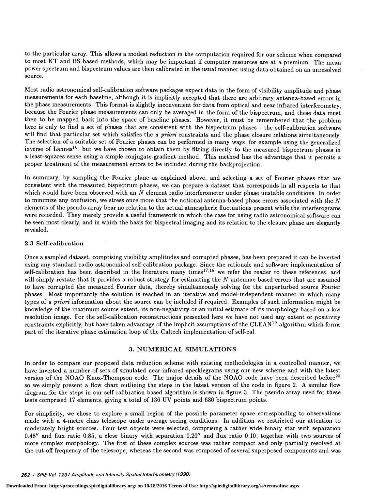to the particular array. This allows a modest reduction in the computation required for our scheme when compared to most KT and BS based methods, which may be important if computer resources are at a premium. The mean power spectrum and bispectrum values are then calibrated in the usual manner using data obtained on an unresolved source.

Most radio astronomical self-calibration software packages expect data in the form of visibility amplitude and phase measurements for each baseline, although it is implicitly accepted that there are arbitrary antenna-based errors in the phase measurements. This format is slightly inconvenient for data from optical and near infrared interferometry, because the Fourier phase measurements can only be averaged in the form of the bispectrum, and these data must then to be mapped back ,into the space of baseline phases. However, it must be remembered that the problem here is only to find a set of phases that are consistent with the bispectrum phases - the self-calibration software will find that particular set which satisfies the a priori constraints and the phase closure relations simultaneously. The selection of a suitable set of Fourier phases can be performed in many ways, for example using the generalized inverse of Lannes'6, but we have chosen to obtain them by fitting directly to the measured bispectrum phases in a least-squares sense using a simple conjugate-gradient method. This method has the advantage that it permits a proper treatment of the measurement errors to be included during the backprojection.

In summary, by sampling the Fourier plane as explained above, and selecting a set of Fourier phases that are consistent with the measured bispectrum phases, we can prepare a dataset that corresponds in all respects to that which would have been observed with an N element radio interferometer under phase unstable conditions. In order to minimize any confusion, we stress once more that the notional antenna-based phase errors associated with the  $N$ elements of the pseudo-array bear no relation to the actual atmospheric fluctuations present while the interferograms were recorded. They merely provide a useful framework in which the case for using radio astronomical software can be seen most clearly, and in which the basis for bispectral imaging and its relation to the closure phase are elegantly revealed.

#### 2.3 Self-calibration

Once a sampled dataset, comprising visibility amplitudes and corrupted phases, has been prepared it can be inverted using any standard radio astronomical self-calibration package. Since the rationale and software implementation of self-calibration has been described in the literature many times<sup>17,18</sup> we refer the reader to these references, and will simply restate that it provides a robust strategy for estimating the  $N$  antennae-based errors that are assumed to have corrupted the measured Fourier data, thereby simultaneously solving for the unperturbed source Fourier phases. Most importantly the solution is reached in an iterative and model-independent manner in which many types of a priori information about the source can be included if required. Examples of such information might be knowledge of the maximum source extent, its non-negativity or an initial estimate of its morphology based on a low resolution image. For the self-calibration reconstructions presented here we have not used any extent or positivity constraints explicitly, but have taken advantage of the implicit assumptions of the CLEAN<sup>19</sup> algorithm which forms part of the iterative phase estimation loop of the Caltech implementation of self-cal.

#### 3. NUMERICAL SIMULATIONS

In order to compare our proposed data reduction scheme with existing methodologies in a controlled manner, we have inverted a number of sets of simulated near-infrared specklegrams using our new scheme and with the latest version of the NOAO Knox-Thompson code. The major details of the NOAO code have been described before<sup>20</sup> so we simply present a flow chart outlining the steps in the latest version of the code in figure 2. A similar flow diagram for the steps in our self-calibration based algorithm is shown in figure 3. The pseudo-array used for these tests comprised 17 elements, giving a total of 136 UV points and 680 bispectrum points.

For simplicity, we chose to explore a small region of the possible parameter space corresponding to observations made with a 4-metre class telescope under average seeing conditions. In addition we restricted our attention to moderately bright sources. Four test objects were selected, comprising a rather wide binary star with separation 0.48" and flux ratio 0.85, a close binary with separation 0.20" and flux ratio 0.10, together with two sources of more complex morphology. The first of these complex sources was rather compact and only partially resolved at the cut-off frequency of the telescope, whereas the second was composed of several superposed components ard was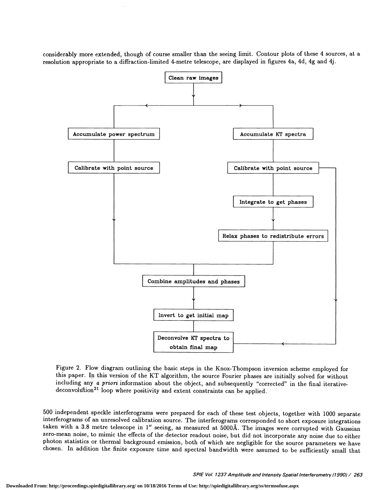considerably more extended, though of course smaller than the seeing limit. Contour plots of these 4 sources, at a resolution appropriate to a diffraction-limited 4-metre telescope, are displayed in figures 4a, 4d, 4g and 4j.



Figure 2. Flow diagram outlining the basic steps in the Knox-Thompson inversion scheme employed for this paper. In this version of the KT algorithm, the source Fourier phases are initially solved for without including any a priori information about the object, and subsequently "corrected" in the final iterativedeconvolution<sup>21</sup> loop where positivity and extent constraints can be applied.

500 independent speckle interferograms were prepared for each of these test objects, together with 1000 separate interferograms of an unresolved calibration source. The interferograms corresponded to short exposure integrations taken with a 3.8 metre telescope in 1" seeing, as measured at 5000A. The images were corrupted with Gaussian zero-mean noise, to mimic the effects of the detector readout noise, but did not incorporate any noise due to either photon statistics or thermal background emission, both of which are negligible for the source parameters we have chosen. In addition the finite exposure time and spectral bandwidth were assumed to be sufficiently small that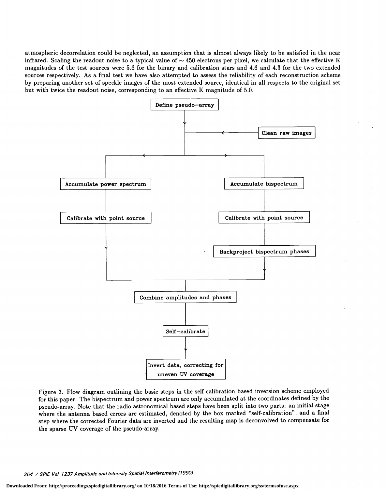atmospheric decorrelation could be neglected, an assumption that is almost always likely to be satisfied in the near infrared. Scaling the readout noise to a typical value of  $\sim$  450 electrons per pixel, we calculate that the effective K magnitudes of the test sources were 5.6 for the binary and calibration stars and 4.6 and 4.3 for the two extended sources respectively. As a final test we have also attempted to assess the reliability of each reconstruction scheme by preparing another set of speckle images of the most extended source, identical in all respects to the original set but with twice the readout noise, corresponding to an effective K magnitude of 5.0.



Figure 3. Flow diagram outlining the basic steps in the self-calibration based inversion scheme employed for this paper. The bispectrum and power spectrum are only accumulated at the coordinates defined by the pseudo-array. Note that the radio astronomical based steps have been split into two parts: an initial stage where the antenna based errors are estimated, denoted by the box marked "self-calibration", and a final step where the corrected Fourier data are inverted and the resulting map is deconvolved to compensate for the sparse UV coverage of the pseudo-array.

**Downloaded From: http://proceedings.spiedigitallibrary.org/ on 10/18/2016 Terms of Use: http://spiedigitallibrary.org/ss/termsofuse.aspx**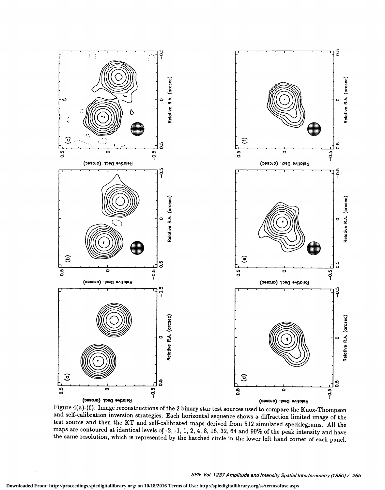

Figure 4(a)-(f). Image reconstructions of the 2 binary star test sources used to compare the Knox-Thompson and self-calibration inversion strategies. Each horizontal sequence shows a diffraction limited image of the test source and then the KT and self-calibrated maps derived from 512 simulated specklegrams. All the maps are contoured at identical levels of -2, -1, 1, 2, 4, 8, 16, 32, 64 and 99% of the peak intensity and have the same resolution, which is represented by the hatched circle in the lower left hand corner of each panel.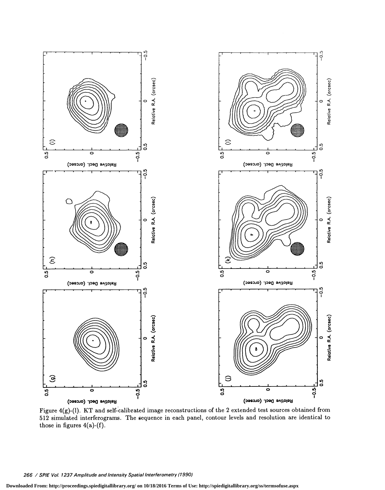

Figure 4(g)-(l). KT and self-calibrated image reconstructions of the 2 extended test sources obtained from 512 simulated interferograms. The sequence in each panel, contour levels and resolution are identical to those in figures  $4(a)-(f)$ .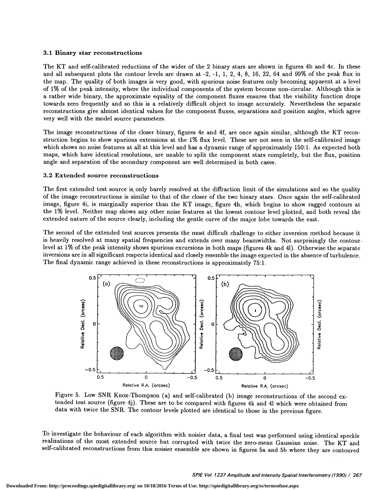#### 3.1 Binary star reconstructions

The KT and self-calibrated reductions of the wider of the 2 binary stars are shown in figures 4b and 4c. In these and all subsequent plots the contour levels are drawn at  $-2$ ,  $-1$ ,  $1$ ,  $2$ ,  $4$ ,  $8$ ,  $16$ ,  $32$ ,  $64$  and  $99\%$  of the peak flux in the map. The quality of both images is very good, with spurious noise features only becoming apparent at a level of 1% of the peak intensity, where the individual components of the system become non-circular. Although this is a rather wide binary, the approximate equality of the component fluxes ensures that the visibility function drops towards zero frequently and so this is a relatively difficult object to image accurately. Nevertheless the separate reconstructions give almost identical values for the component fluxes, separations and position angles, which agree very well with the model source parameters.

The image reconstructions of the closer binary, figures 4e and 4f, are once again similar, although the KT reconstruction begins to show spurious extensions at the 1% flux level. These are not seen in the self-calibrated image which shows no noise features at all at this level and has a dynamic range of approximately 150:1. As expected both maps, which have identical resolutions, are unable to split the component stars completely, but the flux, position angle and separation of the secondary component are well determined in both cases.

## 3.2 Extended source reconstructions

The first extended test source is only barely resolved at the diffraction limit of the simulations and so the quality of the image reconstructions is similar to that of the closer of the two binary stars. Once again the self-calibrated image, figure 4i, is marginally superior than the KT image, figure 4h, which begins to show ragged contours at the 1% level. Neither map shows any other noise features at the lowest contour level plotted, and both reveal the extended nature of the source clearly, including the gentle curve of the major lobe towards the east.

The second of the extended test sources presents the most difficult challenge to either inversion method because it is heavily resolved at many spatial frequencies and extends over many beamwidths. Not surprisingly the contour. level at 1% of the peak intensity shows spurious excursions in both maps (figures 4k and 41). Otherwise the separate inversions are in all significant respects identical and closely resemble the image expected in the absence of turbulence.<br>The final dynamic range achieved in these reconstructions is approximately 75:1.<br>0.5  $\begin{bmatrix} 0 \\ 0 \end$ The final dynamic range achieved in these reconstructions is approximately 75:1.



Figure 5. Low SNR Knox-Thompson (a) and self-calibrated (b) image reconstructions of the second extended test source (figure 4j). These are to be compared with figures 4k and 41 which were obtained from data with twice the SNR. The contour levels plotted are identical to those in the previous figure.

To investigate the behaviour of each algorithm with noisier data, a final test was performed using identical speckle realizations of the most extended source but corrupted with twice the zero-mean Gaussian noise. The KT and self-calibrated reconstructions from this noisier ensemble are shown in figures 5a and 5b where they are contoured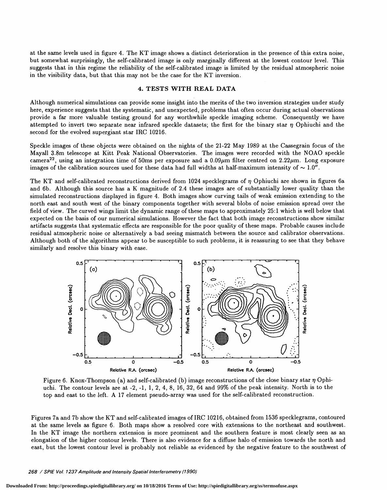at the same levels used in figure 4. The KT image shows a distinct deterioration in the presence of this extra noise, but somewhat surprisingly, the self-calibrated image is only marginally different at the lowest contour level. This suggests that in this regime the reliability of the self-calibrated image is limited by the residual atmospheric noise in the visibility data, but that this may not be the case for the KT inversion.

## 4. TESTS WITH REAL DATA

Although numerical simulations can provide some insight into the merits of the two inversion strategies under study here, experience suggests that the systematic, and unexpected, problems that often occur during actual observations provide a far more valuable testing ground for any worthwhile speckle imaging scheme. Consequently we have attempted to invert two separate near infrared speckle datasets; the first for the binary star  $\eta$  Ophiuchi and the second for the evolved supergiant star IRC 10216.

Speckle images of these objects were obtained on the nights of the 21-22 May 1989 at the Cassegrain focus of the Mayall 3.8m telescope at Kitt Peak National Observatories. The images were recorded with the NOAO speckle camera<sup>22</sup>, using an integration time of 50ms per exposure and a  $0.09\mu$ m filter centred on  $2.22\mu$ m. Long exposure images of the calibration sources used for these data had full widths at half-maximum intensity of  $\sim 1.0$ ".

The KT and self-calibrated reconstructions derived from 1024 specklegrams of  $\eta$  Ophiuchi are shown in figures 6a and 6b. Although this source has a K magnitude of 2.4 these images are of substantially lower quality than the simulated reconstructions displayed in figure 4. Both images show curving tails of weak emission extending to the north east and south west of the binary components together with several blobs of noise emission spread over the field of view. The curved wings limit the dynamic range of these maps to approximately 25: 1 which is well below that expected on the basis of our numerical simulations. However the fact that both image reconstructions show similar artifacts suggests that systematic effects are responsible for the poor quality of these maps. Probable causes include residual atmospheric noise or alternatively a bad seeing mismatch between the source and calibrator observations. Although both of the algorithms appear to be susceptible to such problems, it is reassuring to see that they behave similarly and resolve this binary with ease.



Figure 6. Knox-Thompson (a) and self-calibrated (b) image reconstructions of the close binary star  $\eta$  Ophiuchi. The contour levels are at -2, -1, 1, 2, 4, 8, 16, 32, 64 and 99% of the peak intensity. North is to the top and east to the left. A 17 element pseudo-array was used for the self-calibrated reconstruction.

Figures 7a and 7b show the KT and self-calibrated images ofIRC 10216, obtained from 1536 specklegrams, contoured at the same levels as figure 6. Both maps show a resolved core with extensions to the northeast and southwest. In the KT image the northern extension is more prominent and the southern feature is most clearly seen as an elongation of the higher contour levels. There is also evidence for a diffuse halo of emission towards the north and east, but the lowest contour level is probably not reliable as evidenced by the negative feature to the southwest of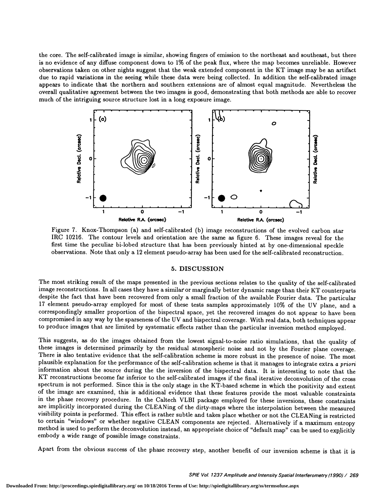the core. The self-calibrated image is similar, showing fingers of emission to the northeast and southeast, but there is no evidence of any diffuse component down to 1% of the peak flux, where the map becomes unreliable. However observations taken on other nights suggest that the weak extended component in the KT image may be an artifact due to rapid variations in the seeing while these data were being collected. In addition the self-calibrated image appears to indicate that the northern and southern extensions are of almost equal magnitude. Nevertheless the overall qualitative agreement between the two images is good, demonstrating that both methods are able to recover much of the intriguing source structure lost in a long exposure image.



Figure 7. Knox-Thompson (a) and self-calibrated (b) image reconstructions of the evolved carbon star IRC 10216. The contour levels and orientation are the same as figure 6. These images reveal for the first time the peculiar bi-lobed structure that has been previously hinted at by one-dimensional speckle observations. Note that only a 12 element pseudo-array has been used for the self-calibrated reconstruction.

# 5. DISCUSSION

The most striking result of the maps presented in the previous sections relates to the quality of the self-calibrated image reconstructions. In all cases they have a similaror marginally better dynamic range than their KT counterparts despite the fact that have been recovered from only a small fraction of the available Fourier data. The particular 17 element pseudo-array employed for most of these tests samples approximately 10% of the UV plane, and a correspondingly smaller proportion of the bispectral space, yet the recovered images do not appear to have been compromised in any way by the sparseness of the UV and bispectral coverage. With real data, both techniques appear to produce images that are limited by systematic effects rather than the particular inversion method employed.

This suggests, as do the images obtained from the lowest signal-to-noise ratio simulations, that the quality of these images is determined primarily by the residual atmospheric noise and not by the Fourier plane coverage. There is also tentative evidence that the self-calibration scheme is more robust in the presence of noise. The most plausible explanation for the performance of the self-calibration scheme is that it manages to integrate extra a priori information about the source during the the inversion of the bispectral data. It is interesting to note that the KT reconstructions become far inferior to the self-calibrated images if the final iterative deconvolution of the cross spectrum is not performed. Since this is the only stage in the KT-based scheme in which the positivity and extent of the image are examined, this is additional evidence that these features provide the most valuable constraints in the phase recovery procedure. In the Caltech VLBI package employed for these inversions, these constraints are implicitly incorporated during the CLEANing of the dirty-maps where the interpolation between the measured visibility points is performed. This effect is rather subtle and takes place whether or not the CLEANing is restricted to certain "windows" or whether negative CLEAN components are rejected. Alternatively if a maximum entropy method is used to perform the deconvolution instead, an appropriate choice of "default map" can be used to explicitly embody a wide range of possible image constraints.

Apart from the obvious success of the phase recovery step, another benefit of our inversion scheme is that it is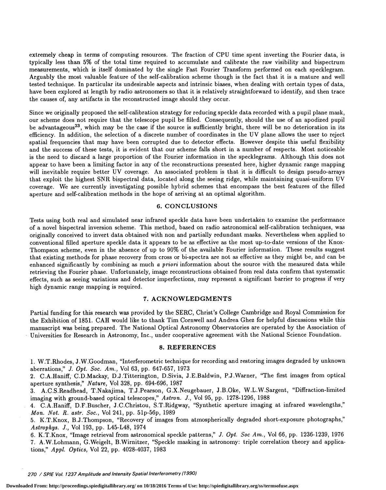extremely cheap in terms of computing resources. The fraction of CPU time spent inverting the Fourier data, is typically less than 5% of the total time required to accumulate and calibrate the raw visibility and bispectrum measurements, which is itself dominated by the single Fast Fourier Transform performed on each specklegram. Arguably the most valuable feature of the self-calibration scheme though is the fact that it is a mature and well tested technique. In particular its undesirable aspects and intrinsic biases, when dealing with certain types of data, have been explored at length by radio astronomers so that it is relatively straightforward to identify, and then trace the causes of, any artifacts in the reconstructed image should they occur.

Since we originally proposed the self-calibration strategy for reducing speckle data recorded with a pupil plane mask, our scheme does not require that the telescope pupil be filled. Consequently, should the use of an apodized pupil be advantageous<sup>23</sup>, which may be the case if the source is sufficiently bright, there will be no deterioration in its efficiency. In addition, the selection of a discrete number of coordinates in the UV plane allows the user to reject spatial frequencies that may have been corrupted due to detector effects. However despite this useful flexibility and the success of these tests, it is evident that our scheme falls short in a number of respects. Most noticeable is the need to discard a large proportion of the Fourier information in the specklegrams. Although this does not appear to have been a limiting factor in any of the reconstructions presented here, higher dynamic range mapping will inevitable require better UV coverage. An associated problem is that it is difficult to design pseudo-arrays that exploit the highest SNR bispectral data, located along the seeing ridge, while maintaining quasi-uniform UV coverage. We are currently investigating possible hybrid schemes that encompass the best features of the filled aperture and self-calibration methods in the hope of arriving at an optimal algorithm.

## 6. CONCLUSIONS

Tests using both real and simulated near infrared speckle data have been undertaken to examine the performance of a novel bispectral inversion scheme. This method, based on radio astronomical self-calibration techniques, was originally conceived to invert data obtained with non and partially redundant masks. Nevertheless when applied to conventional filled aperture speckle data it appears to be as effective as the most up-to-date versions of the Knox-Thompson scheme, even in the absence of up to 90% of the available Fourier information. These results suggest that existing methods for phase recovery from cross or bi-spectra are not as effective as they might be, and can be enhanced significantly by combining as much a priori information about the source with the measured data while retrieving the Fourier phase. Unfortunately, image reconstructions obtained from real data confirm that systematic effects, such as seeing variations and detector imperfections, may represent a significant barrier to progress if very high dynamic range mapping is required.

#### 7. ACKNOWLEDGMENTS

Partial funding for this research was provided by the SERC, Christ's College Cambridge and Royal Commission for the Exhibition of 1851. CAll would like to thank Tim Cornwell and Andrea Ghez for helpful discussions while this manuscript was being. prepared. The National Optical Astronomy Observatories are operated by the Association of . Universities for Research in Astronomy, Inc., under cooperative agreement with the National Science Foundation.

#### 8. REFERENCES

1. W.T.Rhodes, J.W.Goodman, "Interferometric technique for recording and restoring images degraded by unknown aberrations," J. Opt. Soc. Am., Vol 63, pp. 647-657, 1973

2. C.A.Haniff, C.D.Mackay, D.J.Titterington, D.Sivia, J.E.Baldwin, P.J.Warner, "The first images from optical aperture synthesis," Nature, Vol 328, pp. 694-696, 1987

3. A.C.S.Readhead, T.Nakajima, T.J .Pearson, G .X.Neugebauer, J .B .Oke, W.L.W.Sargent, "Diffraction-limited imaging with ground-based optical telescopes," Astron. J., Vol 95, pp. 1278-1296, 1988

4. C.A.Haniff, D.F.Buscher, J.C.Christou, S.T.Ridgway, "Synthetic aperture imaging at infrared wavelengths," Mon. Not. R. astr. Soc., Vol 241, pp. 51p-56p, 1989

5. K.T.Knox, B.J.Thompson, "Recovery of images from atmospherically degraded short-exposure photographs," Asfrophys. J., Vol 193, pp. L45-L48, 1974

6. K.T.Knox, "Image retrieval from astronomical speckle patterns," J. Opt. Soc Am., Vol 66, pp. 1236-1239, 1976 7. A.W.Lohmann, G.Weigelt, B.Wirnitzer, "Speckle masking in astronomy: triple correlation theory and applications," Appi. Opiics, Vol 22, pp. 4028-4037, 1983